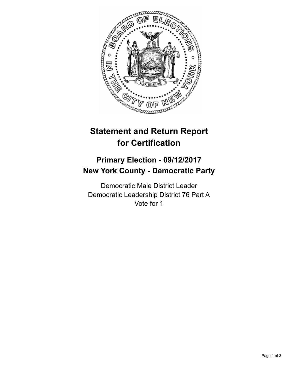

## **Statement and Return Report for Certification**

## **Primary Election - 09/12/2017 New York County - Democratic Party**

Democratic Male District Leader Democratic Leadership District 76 Part A Vote for 1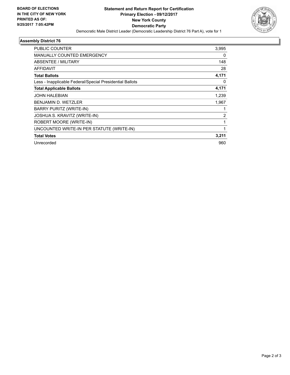

## **Assembly District 76**

| <b>PUBLIC COUNTER</b>                                    | 3,995          |
|----------------------------------------------------------|----------------|
| <b>MANUALLY COUNTED EMERGENCY</b>                        | 0              |
| ABSENTEE / MILITARY                                      | 148            |
| <b>AFFIDAVIT</b>                                         | 28             |
| <b>Total Ballots</b>                                     | 4,171          |
| Less - Inapplicable Federal/Special Presidential Ballots | 0              |
| <b>Total Applicable Ballots</b>                          | 4,171          |
| <b>JOHN HALEBIAN</b>                                     | 1,239          |
| <b>BENJAMIN D. WETZLER</b>                               | 1,967          |
| BARRY PURITZ (WRITE-IN)                                  |                |
| JOSHUA S. KRAVITZ (WRITE-IN)                             | $\overline{2}$ |
| ROBERT MOORE (WRITE-IN)                                  |                |
| UNCOUNTED WRITE-IN PER STATUTE (WRITE-IN)                |                |
| <b>Total Votes</b>                                       | 3,211          |
| Unrecorded                                               | 960            |